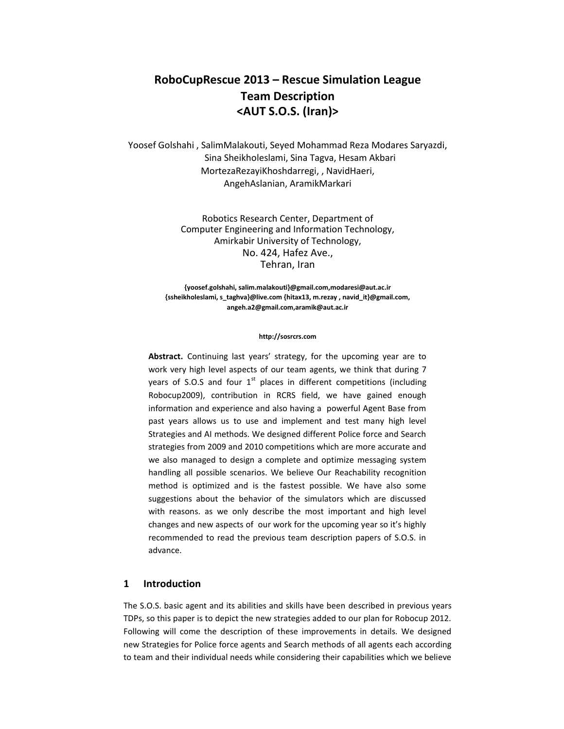# **RoboCupRescue 2013 – Rescue Simulation League Team Description <AUT S.O.S. (Iran)>**

Yoosef Golshahi , SalimMalakouti, Seyed Mohammad Reza Modares Saryazdi, Sina Sheikholeslami, Sina Tagva, Hesam Akbari MortezaRezayiKhoshdarregi, , NavidHaeri, AngehAslanian, AramikMarkari

> Robotics Research Center, Department of Computer Engineering and Information Technology, Amirkabir University of Technology, No. 424, Hafez Ave., Tehran, Iran

**{yoosef.golshahi, salim.malakouti}@gmail.com,modaresi@aut.ac.ir {ssheikholeslami, s\_taghva}@live.com {hitax13, m.rezay , navid\_it}@gmail.com, angeh.a2@gmail.com,aramik@aut.ac.ir**

#### **http://sosrcrs.com**

**Abstract.** Continuing last years' strategy, for the upcoming year are to work very high level aspects of our team agents, we think that during 7 years of S.O.S and four  $1<sup>st</sup>$  places in different competitions (including Robocup2009), contribution in RCRS field, we have gained enough information and experience and also having a powerful Agent Base from past years allows us to use and implement and test many high level Strategies and AI methods. We designed different Police force and Search strategies from 2009 and 2010 competitions which are more accurate and we also managed to design a complete and optimize messaging system handling all possible scenarios. We believe Our Reachability recognition method is optimized and is the fastest possible. We have also some suggestions about the behavior of the simulators which are discussed with reasons. as we only describe the most important and high level changes and new aspects of our work for the upcoming year so it's highly recommended to read the previous team description papers of S.O.S. in advance.

#### **1 Introduction**

The S.O.S. basic agent and its abilities and skills have been described in previous years TDPs, so this paper is to depict the new strategies added to our plan for Robocup 2012. Following will come the description of these improvements in details. We designed new Strategies for Police force agents and Search methods of all agents each according to team and their individual needs while considering their capabilities which we believe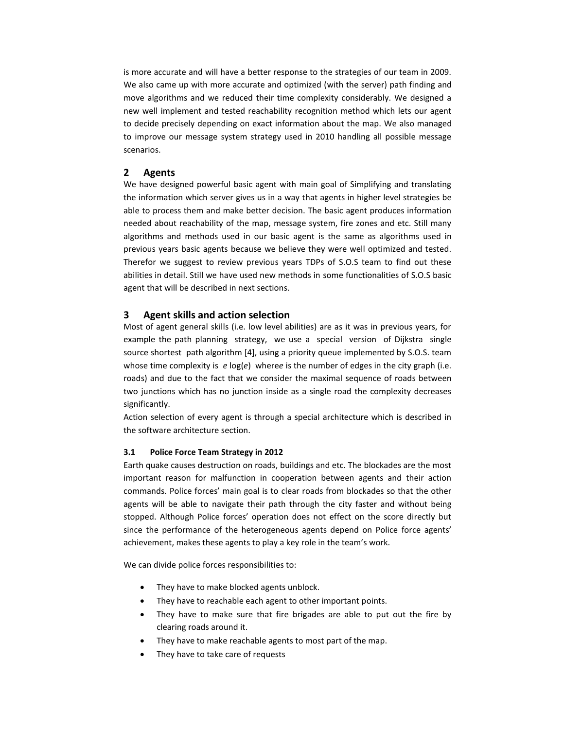is more accurate and will have a better response to the strategies of our team in 2009. We also came up with more accurate and optimized (with the server) path finding and move algorithms and we reduced their time complexity considerably. We designed a new well implement and tested reachability recognition method which lets our agent to decide precisely depending on exact information about the map. We also managed to improve our message system strategy used in 2010 handling all possible message scenarios.

## **2 Agents**

We have designed powerful basic agent with main goal of Simplifying and translating the information which server gives us in a way that agents in higher level strategies be able to process them and make better decision. The basic agent produces information needed about reachability of the map, message system, fire zones and etc. Still many algorithms and methods used in our basic agent is the same as algorithms used in previous years basic agents because we believe they were well optimized and tested. Therefor we suggest to review previous years TDPs of S.O.S team to find out these abilities in detail. Still we have used new methods in some functionalities of S.O.S basic agent that will be described in next sections.

#### **3 Agent skills and action selection**

Most of agent general skills (i.e. low level abilities) are as it was in previous years, for example the path planning strategy, we use a special version of Dijkstra single source shortest path algorithm [4], using a priority queue implemented by S.O.S. team whose time complexity is *e* log(*e*) where*e* is the number of edges in the city graph (i.e. roads) and due to the fact that we consider the maximal sequence of roads between two junctions which has no junction inside as a single road the complexity decreases significantly.

Action selection of every agent is through a special architecture which is described in the software architecture section.

#### **3.1 Police Force Team Strategy in 2012**

Earth quake causes destruction on roads, buildings and etc. The blockades are the most important reason for malfunction in cooperation between agents and their action commands. Police forces' main goal is to clear roads from blockades so that the other agents will be able to navigate their path through the city faster and without being stopped. Although Police forces' operation does not effect on the score directly but since the performance of the heterogeneous agents depend on Police force agents' achievement, makes these agents to play a key role in the team's work.

We can divide police forces responsibilities to:

- They have to make blocked agents unblock.
- They have to reachable each agent to other important points.
- They have to make sure that fire brigades are able to put out the fire by clearing roads around it.
- They have to make reachable agents to most part of the map.
- They have to take care of requests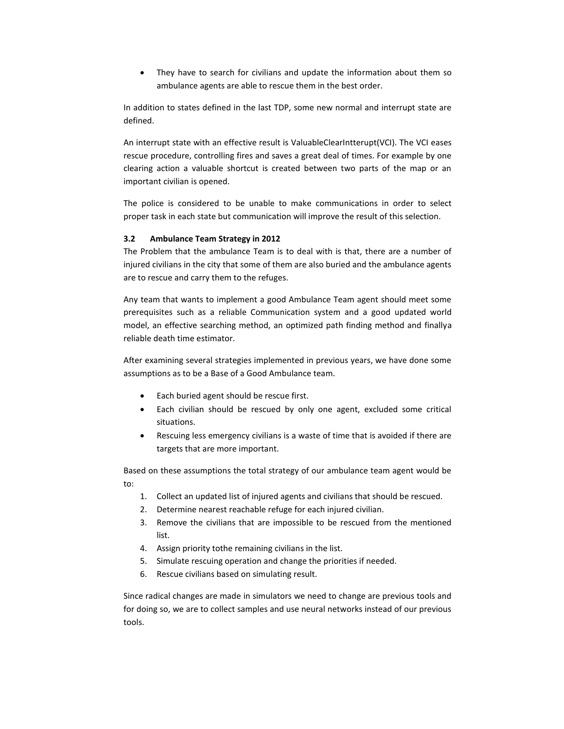They have to search for civilians and update the information about them so ambulance agents are able to rescue them in the best order.

In addition to states defined in the last TDP, some new normal and interrupt state are defined.

An interrupt state with an effective result is ValuableClearIntterupt(VCI). The VCI eases rescue procedure, controlling fires and saves a great deal of times. For example by one clearing action a valuable shortcut is created between two parts of the map or an important civilian is opened.

The police is considered to be unable to make communications in order to select proper task in each state but communication will improve the result of this selection.

#### **3.2 Ambulance Team Strategy in 2012**

The Problem that the ambulance Team is to deal with is that, there are a number of injured civilians in the city that some of them are also buried and the ambulance agents are to rescue and carry them to the refuges.

Any team that wants to implement a good Ambulance Team agent should meet some prerequisites such as a reliable Communication system and a good updated world model, an effective searching method, an optimized path finding method and finallya reliable death time estimator.

After examining several strategies implemented in previous years, we have done some assumptions as to be a Base of a Good Ambulance team.

- Each buried agent should be rescue first.
- Each civilian should be rescued by only one agent, excluded some critical situations.
- Rescuing less emergency civilians is a waste of time that is avoided if there are targets that are more important.

Based on these assumptions the total strategy of our ambulance team agent would be to:

- 1. Collect an updated list of injured agents and civilians that should be rescued.
- 2. Determine nearest reachable refuge for each injured civilian.
- 3. Remove the civilians that are impossible to be rescued from the mentioned list.
- 4. Assign priority tothe remaining civilians in the list.
- 5. Simulate rescuing operation and change the priorities if needed.
- 6. Rescue civilians based on simulating result.

Since radical changes are made in simulators we need to change are previous tools and for doing so, we are to collect samples and use neural networks instead of our previous tools.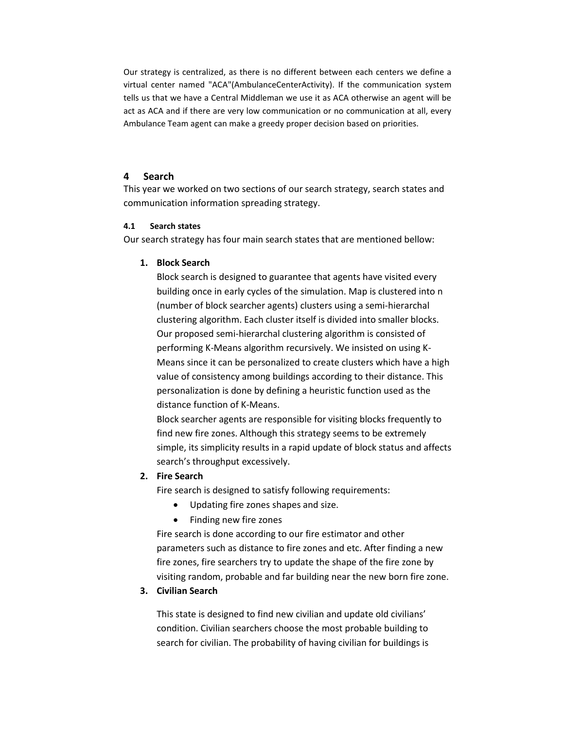Our strategy is centralized, as there is no different between each centers we define a virtual center named "ACA"(AmbulanceCenterActivity). If the communication system tells us that we have a Central Middleman we use it as ACA otherwise an agent will be act as ACA and if there are very low communication or no communication at all, every Ambulance Team agent can make a greedy proper decision based on priorities.

# **4 Search**

This year we worked on two sections of our search strategy, search states and communication information spreading strategy.

# **4.1 Search states**

Our search strategy has four main search states that are mentioned bellow:

# **1. Block Search**

Block search is designed to guarantee that agents have visited every building once in early cycles of the simulation. Map is clustered into n (number of block searcher agents) clusters using a semi-hierarchal clustering algorithm. Each cluster itself is divided into smaller blocks. Our proposed semi-hierarchal clustering algorithm is consisted of performing K-Means algorithm recursively. We insisted on using K-Means since it can be personalized to create clusters which have a high value of consistency among buildings according to their distance. This personalization is done by defining a heuristic function used as the distance function of K-Means.

Block searcher agents are responsible for visiting blocks frequently to find new fire zones. Although this strategy seems to be extremely simple, its simplicity results in a rapid update of block status and affects search's throughput excessively.

# **2. Fire Search**

Fire search is designed to satisfy following requirements:

- Updating fire zones shapes and size.
- Finding new fire zones

Fire search is done according to our fire estimator and other parameters such as distance to fire zones and etc. After finding a new fire zones, fire searchers try to update the shape of the fire zone by visiting random, probable and far building near the new born fire zone.

# **3. Civilian Search**

This state is designed to find new civilian and update old civilians' condition. Civilian searchers choose the most probable building to search for civilian. The probability of having civilian for buildings is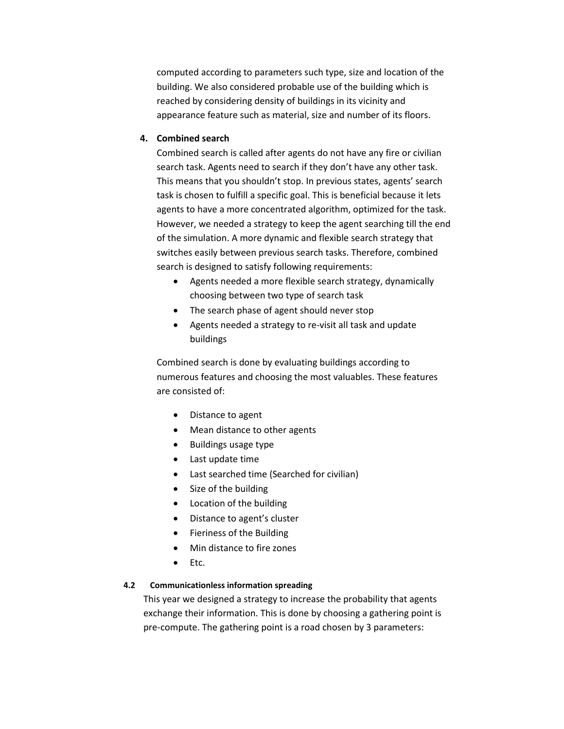computed according to parameters such type, size and location of the building. We also considered probable use of the building which is reached by considering density of buildings in its vicinity and appearance feature such as material, size and number of its floors.

# **4. Combined search**

Combined search is called after agents do not have any fire or civilian search task. Agents need to search if they don't have any other task. This means that you shouldn't stop. In previous states, agents' search task is chosen to fulfill a specific goal. This is beneficial because it lets agents to have a more concentrated algorithm, optimized for the task. However, we needed a strategy to keep the agent searching till the end of the simulation. A more dynamic and flexible search strategy that switches easily between previous search tasks. Therefore, combined search is designed to satisfy following requirements:

- Agents needed a more flexible search strategy, dynamically choosing between two type of search task
- The search phase of agent should never stop
- Agents needed a strategy to re-visit all task and update buildings

Combined search is done by evaluating buildings according to numerous features and choosing the most valuables. These features are consisted of:

- Distance to agent
- Mean distance to other agents
- Buildings usage type
- Last update time
- Last searched time (Searched for civilian)
- Size of the building
- Location of the building
- Distance to agent's cluster
- Fieriness of the Building
- Min distance to fire zones
- $\bullet$  Etc.

# **4.2 Communicationless information spreading**

This year we designed a strategy to increase the probability that agents exchange their information. This is done by choosing a gathering point is pre-compute. The gathering point is a road chosen by 3 parameters: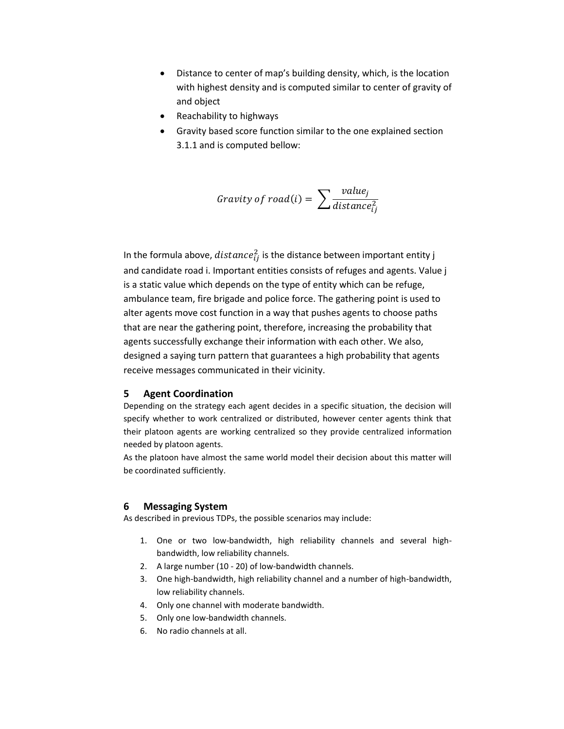- Distance to center of map's building density, which, is the location with highest density and is computed similar to center of gravity of and object
- Reachability to highways
- Gravity based score function similar to the one explained section 3.1.1 and is computed bellow:

$$
gravity \ of \ road(i) = \sum \frac{value_j}{distance_{ij}^2}
$$

In the formula above,  $distance_{ij}^2$  is the distance between important entity j and candidate road i. Important entities consists of refuges and agents. Value j is a static value which depends on the type of entity which can be refuge, ambulance team, fire brigade and police force. The gathering point is used to alter agents move cost function in a way that pushes agents to choose paths that are near the gathering point, therefore, increasing the probability that agents successfully exchange their information with each other. We also, designed a saying turn pattern that guarantees a high probability that agents receive messages communicated in their vicinity.

# **5 Agent Coordination**

Depending on the strategy each agent decides in a specific situation, the decision will specify whether to work centralized or distributed, however center agents think that their platoon agents are working centralized so they provide centralized information needed by platoon agents.

As the platoon have almost the same world model their decision about this matter will be coordinated sufficiently.

#### **6 Messaging System**

As described in previous TDPs, the possible scenarios may include:

- 1. One or two low-bandwidth, high reliability channels and several highbandwidth, low reliability channels.
- 2. A large number (10 20) of low-bandwidth channels.
- 3. One high-bandwidth, high reliability channel and a number of high-bandwidth, low reliability channels.
- 4. Only one channel with moderate bandwidth.
- 5. Only one low-bandwidth channels.
- 6. No radio channels at all.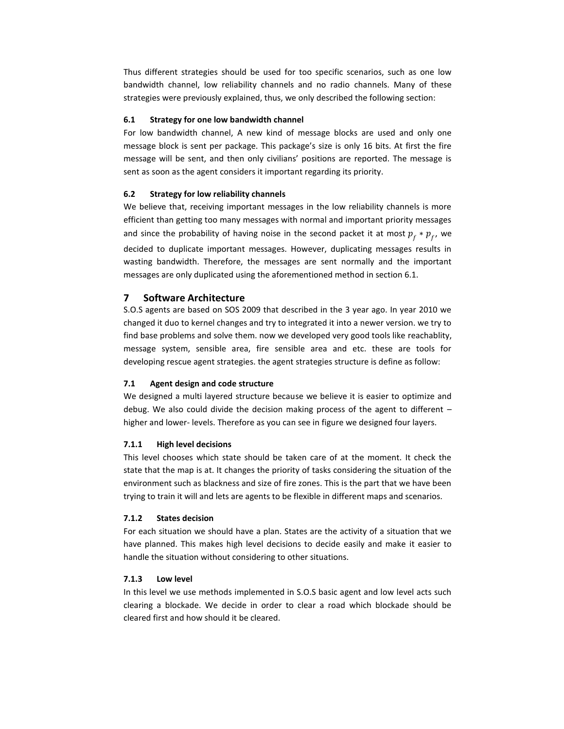Thus different strategies should be used for too specific scenarios, such as one low bandwidth channel, low reliability channels and no radio channels. Many of these strategies were previously explained, thus, we only described the following section:

#### **6.1 Strategy for one low bandwidth channel**

For low bandwidth channel, A new kind of message blocks are used and only one message block is sent per package. This package's size is only 16 bits. At first the fire message will be sent, and then only civilians' positions are reported. The message is sent as soon as the agent considers it important regarding its priority.

#### **6.2 Strategy for low reliability channels**

We believe that, receiving important messages in the low reliability channels is more efficient than getting too many messages with normal and important priority messages and since the probability of having noise in the second packet it at most  $p_f * p_f$ , we decided to duplicate important messages. However, duplicating messages results in wasting bandwidth. Therefore, the messages are sent normally and the important messages are only duplicated using the aforementioned method in section 6.1.

#### **7 Software Architecture**

S.O.S agents are based on SOS 2009 that described in the 3 year ago. In year 2010 we changed it duo to kernel changes and try to integrated it into a newer version. we try to find base problems and solve them. now we developed very good tools like reachablity, message system, sensible area, fire sensible area and etc. these are tools for developing rescue agent strategies. the agent strategies structure is define as follow:

#### **7.1 Agent design and code structure**

We designed a multi layered structure because we believe it is easier to optimize and debug. We also could divide the decision making process of the agent to different – higher and lower- levels. Therefore as you can see in figure we designed four layers.

#### **7.1.1 High level decisions**

This level chooses which state should be taken care of at the moment. It check the state that the map is at. It changes the priority of tasks considering the situation of the environment such as blackness and size of fire zones. This is the part that we have been trying to train it will and lets are agents to be flexible in different maps and scenarios.

#### **7.1.2 States decision**

For each situation we should have a plan. States are the activity of a situation that we have planned. This makes high level decisions to decide easily and make it easier to handle the situation without considering to other situations.

#### **7.1.3 Low level**

In this level we use methods implemented in S.O.S basic agent and low level acts such clearing a blockade. We decide in order to clear a road which blockade should be cleared first and how should it be cleared.